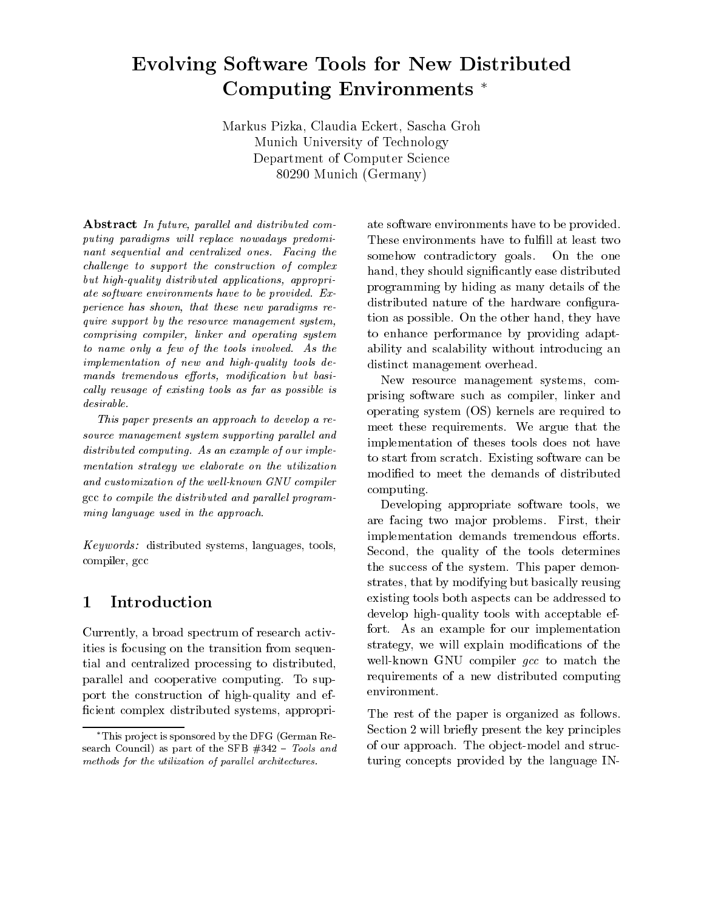# Evolving Software Tools for New Distributed Computing Environments

Markus Pizka Claudia Eckert Sascha Groh Munich University of Technology Department of Computer Science  $\overline{\mathrm{O}}\mathrm{O}$   $\overline{\mathrm{O}}$  and  $\overline{\mathrm{O}}$  and  $\overline{\mathrm{O}}$  are contributed by  $\overline{\mathrm{O}}$ 

Abstract In future, parallel and distributed computing paradigms will replace nowadays predominant sequential and centralized ones-the-centralized ones-the-centralized ones-the-centralized ones-the-centralized oneschallenge to support the construction of complex but high-quality distributed applications, appropriate software entity that have the software provided and the software of the software of the software of the so  $perience$  has shown, that these new paradigms require support by the resource management system comprising compiler, linker and operating system to name on the tools in the tools in the tools in the tools in the tools in the tools in the tools in the tool  $implementation$  of new and high-quality tools demands tremendous efforts, modification but basically reusage of existing tools as far as possible is desirable.

This paper presents an approach to develop a re source management system supporting parallel and as a computing computing the computing of our implementary computing the computing of our implementary of our independent of  $\mathcal{A}$ mentation strategy we elaborate on the utilization and customization of the well-known GNU compiler  $\mathcal{A}$  to compile the distribution and parallel program leads ming language used in the approach.

 $Keywords:$  distributed systems, languages, tools, compiler, gcc

#### Introduction  $\mathbf{1}$

Currently a broad spectrum of research activ ities is focusing on the transition from sequen tial and centralized processing to distributed parallel and cooperative computing- To sup port the construction of high-quality and efficient complex distributed systems, appropri-

ate software environments have to be provided. These environments have to fulfill at least two somehow contradictory goals. On the one hand, they should significantly ease distributed programming by hiding as many details of the distributed nature of the hardware configuration as possible-tion as possible-tion as possible-tion as possible-tion as possible-tion and they have been d to enhance performance by providing adapt ability and scalability without introducing an distinct management overhead.

New resource management systems, comprising software such as compiler, linker and operating system (OS) kernels are required to meet these requirements-these requirements-these requirements-theoretical control of the control of the control of the control of the control of the control of the control of the control of the control of the control of th implementation of theses tools does not have to start from scratch-start from scratch-start from scratch-start from software can be existing software can be modified to meet the demands of distributed computing-

Developing appropriate software tools, we are facing two matrix of problems-between  $\mathbf{F}_{\mathbf{r}}$  their problems-between  $\mathbf{F}_{\mathbf{r}}$ implementation demands tremendous efforts. Second, the quality of the tools determines the system-demonstrated paper demonstrated by  $\mathbf{r}$ strates, that by modifying but basically reusing existing tools both aspects can be addressed to develop high-quality tools with acceptable effort- As an example for our implementation strategy, we will explain modifications of the well-known GNU compiler *qcc* to match the requirements of a new distributed computing environment.

The rest of the paper is organized as follows. Section 2 will briefly present the key principles of our approach- The observed and structure and structure and structure and structure and structure and structure turing concepts provided by the language IN

 $*$ This project is sponsored by the DFG (German Re- $\sim$  council as part of the SFB  $\sim$  10  $\sim$  100.000 and  $\sim$ methods for the utilization of parallel architectures.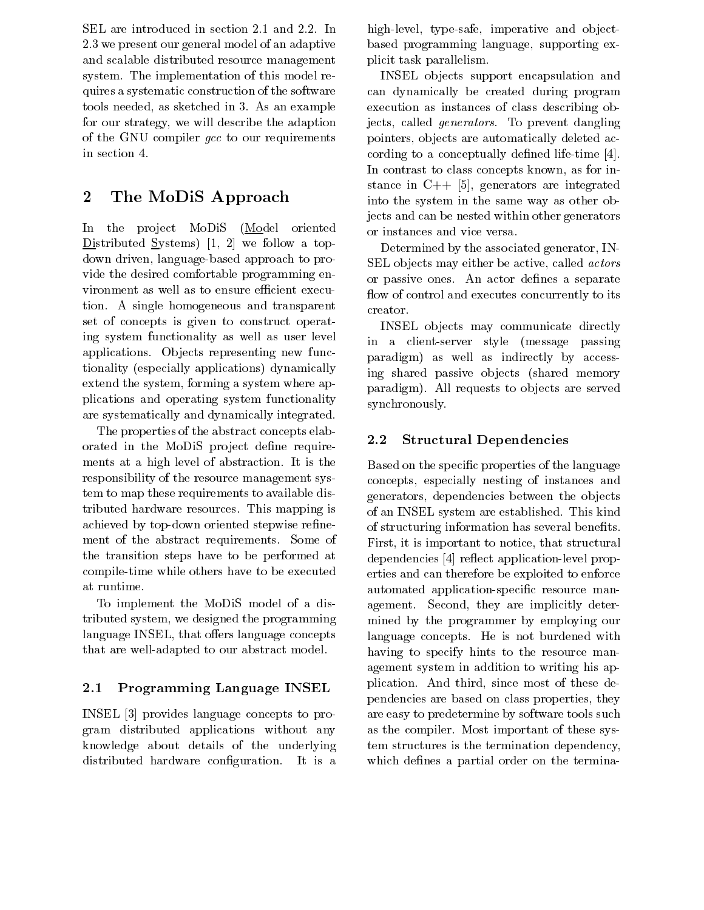- we present our general model of an adaptive and scalable distributed resource management system, which implementation of this model resolution of the  $\sim$ quires a systematic construction of the software to a sketched in the state of the state in the state of  $\alpha$ for our strategy we will describe the adaption of the GNU compiler gcc to our requirements in section 4.

#### $\overline{2}$ The MoDiS Approach

In the project MoDiS (Model oriented Distributed Systems) [1, 2] we follow a topdown driven, language-based approach to provide the desired comfortable programming en vironment as well as to ensure efficient execution- A single homogeneous and transparent and the p set of concepts is given to construct operat ing system functionality as well as user level applications-because representing new functions-because  $\mathcal{C}$ tionality (especially applications) dynamically extend the system, forming a system where applications and operating system functionality are systematically and dynamically integrated-

The properties of the abstract concepts elab orated in the MoDiS project define requirements at a high level of abstraction-dependent of abstraction-dependent of abstraction-dependent of abstractionresponsibility of the resource management sys tem to map these requirements to available dis tributed tributed is the resources-contractor  $\mathbb{F}_p$  is a set of  $\mathbb{F}_p$ achieved by top-down oriented stepwise refinement of the abstract requirements- source as the transition steps have to be performed at compile-time while others have to be executed at runtime.

To implement the MoDiS model of a dis tributed system, we designed the programming language INSEL, that offers language concepts that are well-adapted to our abstract model.

#### 2.1 Programming Language INSEL

as the concepts of the provides the providence of the providence of the providence of the property of the proper gram distributed applications without any knowledge about details of the underlying distribution-distributed hardware congression-distribution-distribution-distribution-distribution-distribution-

 In highlevel typesafe imperative and ob ject based programming language, supporting explicit task parallelism-

> INSEL ob jects support encapsulation and can dynamically be created during program execution as instances of class describing ob jects called generators- To prevent dangling pointers, objects are automatically deleted according to a conceptually defined life-time  $[4]$ . In contrast to class concepts known, as for instance in  $C_{++}$  [5], generators are integrated into the system in the same way as other ob jects and can be nested within other generators or instances and vice versa-

Determined by the associated generator, IN-SEL objects may either be active, called *actors* or passive ones and separate denes a separate o flow of control and executes concurrently to its creator.

INSEL ob jects may communicate directly in a client-server style (message passing paradigm) as well as indirectly by accessing shared passive objects (shared memory paradigm-, and any served are served are served and the served of the served of the served of the served of the synchronously-

#### $2.2\,$ Structural Dependencies

Based on the specific properties of the language concepts, especially nesting of instances and generators, dependencies between the objects of an INSEL system are established- This kind of structuring information has several benefits. First, it is important to notice, that structural dependencies [4] reflect application-level properties and can therefore be exploited to enforce automated application-specific resource management second they are implicitly determined mined by the programmer by employing our language concepts- He is not burdened with having to specify hints to the resource man agement system in addition to writing his ap plication-third since most of these design and the since most of these design and the since most of these design pendencies are based on class properties, they are easy to predetermine by software tools such as the completed district the position of the complete system tem structures is the termination dependency which defines a partial order on the termina-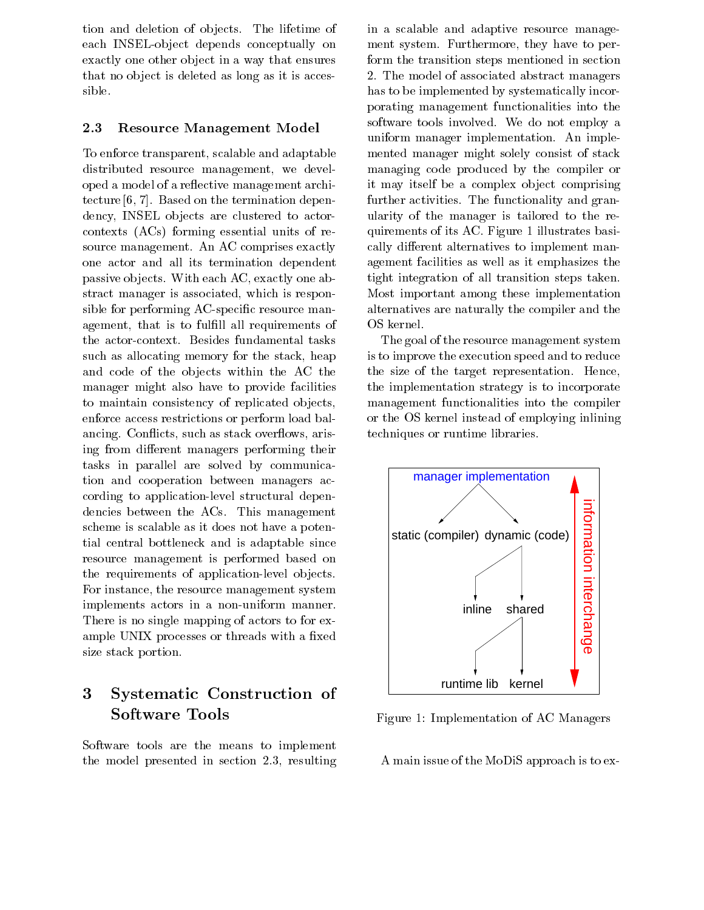tion and deletion of ob jects- The lifetime of each INSEL-object depends conceptually on exactly one other object in a way that ensures that no object is deleted as long as it is accessible.

#### 2.3 Resource Management Model

To enforce transparent, scalable and adaptable distributed resource management, we developed a model of a reflective management architecture in the termination of the termination of the termination dependence on the termination of the termination of dency, INSEL objects are clustered to actorcontexts (ACs) forming essential units of resource management-comprehense exactly the management one actor and all its termination dependent passive objects. It are contactly opening, the contact stract manager is associated, which is responsible for performing AC-specific resource management, that is to fulfill all requirements of such as allocating memory for the stack, heap and code of the objects within the AC the manager might also have to provide facilities to maintain consistency of replicated objects, enforce access restrictions or perform load bal ancing-to-control ancients such as stack over the stack over the stack over the stack over the stack over the s ing from different managers performing their tasks in parallel are solved by communica tion and cooperation between managers ac cording to application-level structural dependence between the ACS-C and the Management scheme is scalable as it does not have a poten tial central bottleneck and is adaptable since resource management is performed based on the requirements of application-level objects. For instance, the resource management system implements actors in a non-uniform manner. There is no single mapping of actors to for ex ample UNIX processes or threads with a fixed size stack portion.

### Systematic Construction of 3 Software Tools

Software tools are the means to implement the model presented in section - and the model presented in section - and the model presented in section - and

in a scalable and adaptive resource manage ment system-system-system-system-system-system-system-system-system-system-system-system-system-system-systemform the transition steps mentioned in section - The model of associated abstract managers has to be implemented by systematically incor porating management functionalities into the software to all the second that we do not employ at uniform manager implementation-manager implementation-manager implementation-manager implementation-manager implementation-manager implementation-manager implementation-manager implementation-manager implementation-manager mented manager might solely consist of stack managing code produced by the compiler or it may itself be a complex ob ject comprising further activities - The functionality and grand ularity of the manager is tailored to the re  $\mathbf{r}$  is a figure of its AC-contract of intervalstrates basis  $\mathbf{r}$  is a figure of intervalstrates basis  $\mathbf{r}$ cally different alternatives to implement management facilities as well as it emphasizes the tight integration of all transition steps taken-Most important among these implementation alternatives are naturally the compiler and the OS kernel.

The goal of the resource management system is to improve the execution speed and to reduce the size of the target representation- Hence the implementation strategy is to incorporate management functionalities into the compiler or the OS kernel instead of employing inlining techniques or runtime libraries-



Figure 1: Implementation of AC Managers

A main issue of the MoDiS approach is to ex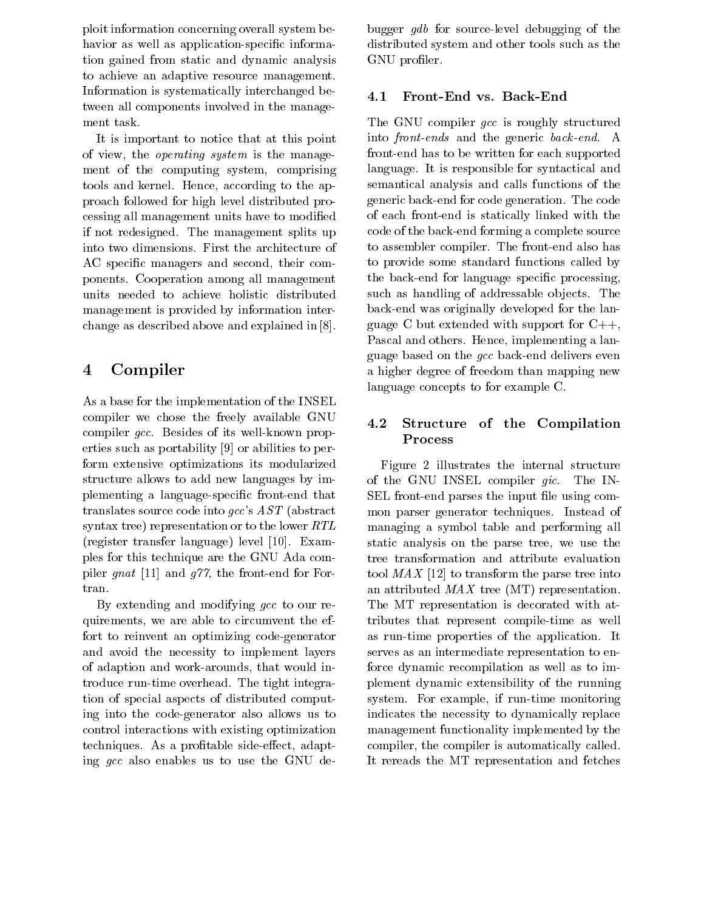ploit information concerning overall system be havior as well as application-specific information gained from static and dynamic analysis to achieve an adaptive resource management. Information is systematically interchanged be tween all components involved in the manage ment task.

It is important to notice that at this point of view, the *operating system* is the management of the computing system, comprising tools and kernel- Hence according to the ap proach followed for high level distributed pro cessing all management units have to modified if not redesigned splits in the management splits up to the management of  $\mathcal{L}_\mathbf{p}$ AC specific managers and second, their components- Cooperation among all management units needed to achieve holistic distributed management is provided by information inter change as described above and explained in 
-

# Compiler

As a base for the implementation of the INSEL compiler we chose the freely available GNU complete group and its well-well complete of its wellerties such as portability  $[9]$  or abilities to perform extensive optimizations its modularized structure allows to add new languages by im plementing a language-specific front-end that translates source code into  $gcc$ 's  $AST$  (abstract syntax tree) representation or to the lower  $RTL$  $\mathbf{r}$  . The contract through  $\mathbf{r}$  is the set of  $\mathbf{r}$  and  $\mathbf{r}$  and  $\mathbf{r}$  and  $\mathbf{r}$  and  $\mathbf{r}$  are  $\mathbf{r}$  and  $\mathbf{r}$  and  $\mathbf{r}$  are  $\mathbf{r}$  and  $\mathbf{r}$  and  $\mathbf{r}$  are  $\mathbf{r}$  and  $\mathbf{r}$  a ples for this technique are the GNU Ada com piler *gnat* [11] and  $q\gamma\gamma$ , the front-end for Fortran.

By extending and modifying  $gcc$  to our requirements, we are able to circumvent the effort to reinvent an optimizing codegenerator and avoid the necessity to implement layers of adaption and work-arounds, that would introduce runtime over the tight integration of the tight integration of the tight integration of the tight integration of the tight integration of the tight integration of the tight integration of the tight integration of t tion of special aspects of distributed comput ing into the codegenerator also allows us to control interactions with existing optimization techniques-a-protable sideeect adaptation adaptation adaptation adaptation adaptation adaptation adaptation ad ing gcc also enables us to use the GNU de

bugger  $qdb$  for source-level debugging of the distributed system and other tools such as the GNU profiler.

#### $4.1$ Front-End vs. Back-End

The GNU compiler gcc is roughly structured ends and the generic back-the generic back-the generic backfront-end has to be written for each supported language- It is responsible for syntactical and semantical analysis and calls functions of the  $\mathbf{u}$ of each frontend is statically linked with the code of the back-end forming a complete source to antended completed also has found also has also has to provide some standard functions called by the back-end for language specific processing, such as handling of addressable ob jects- The back-end was originally developed for the language C but extended with support for  $C_{++}$ , Pascal and others- Hence implementing a lan guage based on the *gcc* back-end delivers even a higher degree of freedom than mapping new language concepts to for example C-

### 4.2 Structure of the Compilation Process

Figure 2 illustrates the internal structure of the GNU INSEL compiler gic. The IN SEL front-end parses the input file using common parser generatores techniques. Instead of the managing a symbol table and performing all static analysis on the parse tree, we use the tree transformation and attribute evaluation tool  $MAX$  [12] to transform the parse tree into an attributed  $MAX$  tree (MT) representation. The MT representation is decorated with at tributes that represent compile-time as well as runtime properties of the applicationserves as an intermediate representation to en force dynamic recompilation as well as to implement dynamic extensibility of the running system- For example, if run the complete monitoring indicates the necessity to dynamically replace management functionality implemented by the compiler, the compiler is automatically called. It rereads the MT representation and fetches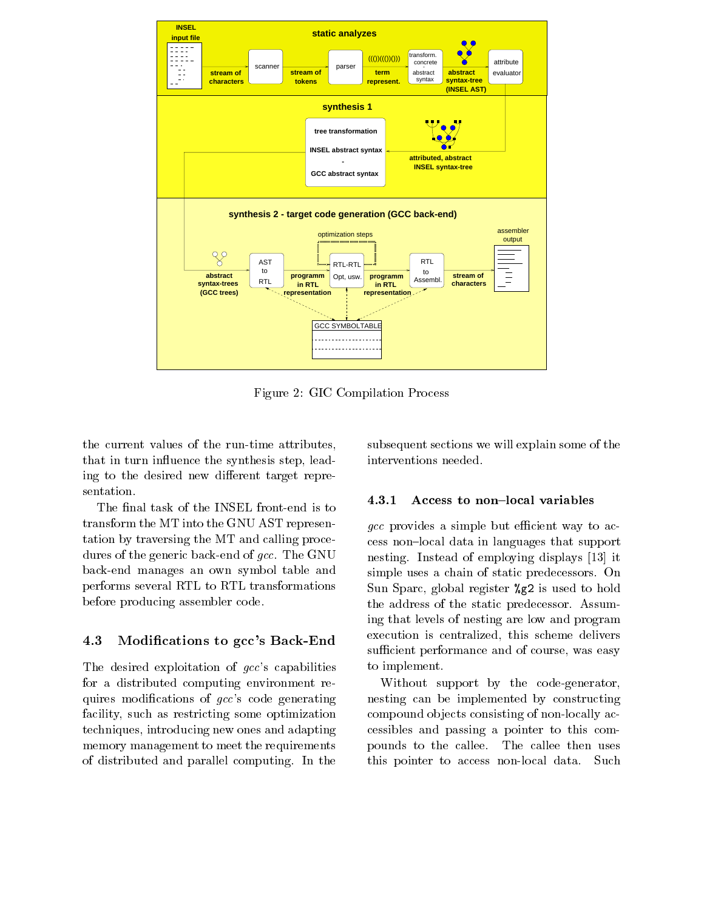

Figure 2: GIC Compilation Process

the current values of the run-time attributes, that in turn influence the synthesis step, leading to the desired new different target representation.

The final task of the INSEL front-end is to transform the MT into the GNU AST represen tation by traversing the MT and calling proce dures of the generic back-end of  $qcc$ . The GNU backend manages an own symbol table and performs several RTL to RTL transformations before producing assembler code-

#### 4.3 Modifications to gcc's Back-End

The desired exploitation of  $gcc$ 's capabilities for a distributed computing environment re quires modifications of  $gcc$ 's code generating facility, such as restricting some optimization techniques, introducing new ones and adapting memory management to meet the requirements of distribution and parallel computing-danger and parallel computing-danger and parallel computing-danger and  $\mathbf{I}$ 

subsequent sections we will explain some of the interventions needed.

#### 4.3.1 Access to non-local variables

 $\overline{\phantom{a}}$  =  $\overline{\phantom{a}}$  =  $\overline{\phantom{a}}$  =  $\overline{\phantom{a}}$  =  $\overline{\phantom{a}}$  =  $\overline{\phantom{a}}$  =  $\overline{\phantom{a}}$  =  $\overline{\phantom{a}}$  =  $\overline{\phantom{a}}$  =  $\overline{\phantom{a}}$  =  $\overline{\phantom{a}}$  =  $\overline{\phantom{a}}$  =  $\overline{\phantom{a}}$  =  $\overline{\phantom{a}}$  =  $\overline{\phantom{a}}$  =  $\overline{\phantom{a}}$  $\alpha$  provides a simple but efficient way to access non-local data in languages that support simple uses a chain of static predecessors- on o Sun Sparc, global register  $\chi$ g2 is used to hold the address of the static predecessor-between the static predecessor-between the static predecessoring that levels of nesting are low and program execution is centralized, this scheme delivers sufficient performance and of course, was easy to implement.

> Without support by the code-generator, nesting can be implemented by constructing compound objects consisting of non-locally accessibles and passing a pointer to this com pounds to the callee-then uses to the callee-then uses the callee-then uses the callee-then uses then uses the this pointer to access non-local data. Such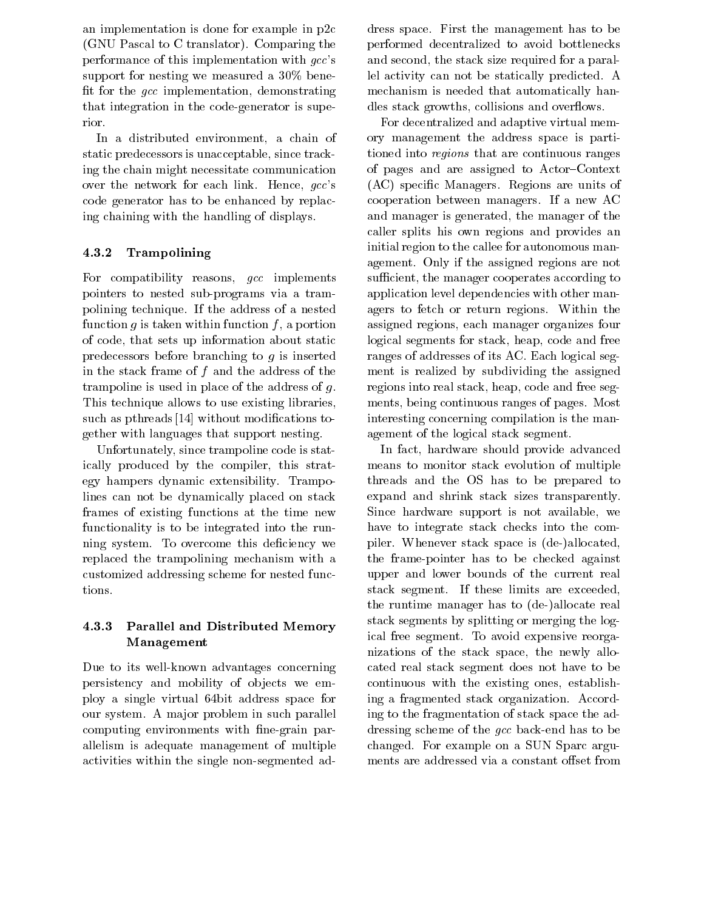an implementation is done for example in  $p2c$ GNU Pascal to C translator- Comparing the performance of this implementation with  $qcc$ 's support for measured we measured a voice a small contract of the second and the second a second a second a second fit for the  $qcc$  implementation, demonstrating that integration in the codegenerator is supe rior.

In a distributed environment, a chain of static predecessors is unacceptable, since tracking the chain might necessitate communication over the network for each link-the network for each link-the network for each link-the network for each link-t code generator has to be enhanced by replac ing chaining with the handling of displays-

#### 4.3.2 Trampolining

For compatibility reasons,  $\emph{gcc implements$ pointers to nested sub-programs via a trampolitical technique-le-mail and annual and annual comparative and an function g is taken within function f, a portion of code, that sets up information about static predecessors before branching to <sup>g</sup> is inserted in the stack frame of  $f$  and the address of the trampoline is used in place of the address of  $q$ . This technique allows to use existing libraries such as pthreads  $[14]$  without modifications together with languages that support nesting-

Unfortunately, since trampoline code is statically produced by the compiler, this strategy hampers dynamics extensions of the state of  $\mathcal{L}_{\mathcal{A}}$ lines can not be dynamically placed on stack frames of existing functions at the time new functionality is to be integrated into the run ning system. The system come the system of the system of the system of the system of the system of the system o replaced the trampolining mechanism with a customized addressing scheme for nested func tions.

### Parallel and Distributed Memory Management

Due to its well-known advantages concerning persistency and mobility of objects we employ a single virtual 64bit address space for our systemative community paralleled in such paralleled paralleled computing environments with fine-grain parallelism is adequate management of multiple activities within the single non-segmented ad-

dress space- First the management has to be performed decentralized to avoid bottlenecks and second, the stack size required for a parallel activity can not be statically predicted. A mechanism is needed that automatically han dles stack growths, collisions and overflows.

For decentralized and adaptive virtual mem ory management the address space is parti tioned into regions that are continuous ranges of pages and are assigned to Actor–Context  $\lambda$  specifies are units of  $\lambda$  and  $\lambda$  are units of  $\lambda$  are units of  $\lambda$ cooperation between managers-between managers-between managers-between managersand manager is generated, the manager of the caller splits his own regions and provides an initial region to the callee for autonomous man and  $\overline{a}$  if the assigned regions are not assigned regions are not assigned regions are not assigned regions are not assigned by  $\overline{a}$ sufficient, the manager cooperates according to application level dependencies with other man agers to fetch or returns-formation there is no rest that assigned regions, each manager organizes four logical segments for stack, heap, code and free ranges of addresses of its AC- Each logical seg ment is realized by subdividing the assigned regions into real stack, heap, code and free segments being continuous ranges of pages- Most interesting concerning compilation is the man agement of the logical stack segment.

In fact, hardware should provide advanced means to monitor stack evolution of multiple threads and the OS has to be prepared to expand and shrink stack sizes transparently-Since hardware support is not available, we have to integrate stack checks into the com piler- whenever stack space is deallocated in the space is deallocated in the space is deallocated in the space is deallocated in the space of the space is deallocated in the space of the space is deallocated in the space the frame-pointer has to be checked against upper and lower bounds of the current real stack segment-limits are exceeded and these limits are exceeded and the exceeded are exceeded as a segment-limit the runtime manager has to (de-)allocate real stack segments by splitting or merging the log ical free segments of avoid the process of avoid the contract of the contract of the contract of the contract o nizations of the stack space, the newly allocated real stack segment does not have to be continuous with the existing ones, establishing a fragmented stack organization- Accord ing to the fragmentation of stack space the ad dressing scheme of the gcc back-end has to be changed-band on a SUN Sparc argument of the SUN Sparch and the SUN Sparch argument of the SUN Sparch argument of the SUN Sparch argument of the SUN Sparch and the SUN Sparch argument of the SUN Sparch and the SUN Sparch ar ments are addressed via a constant offset from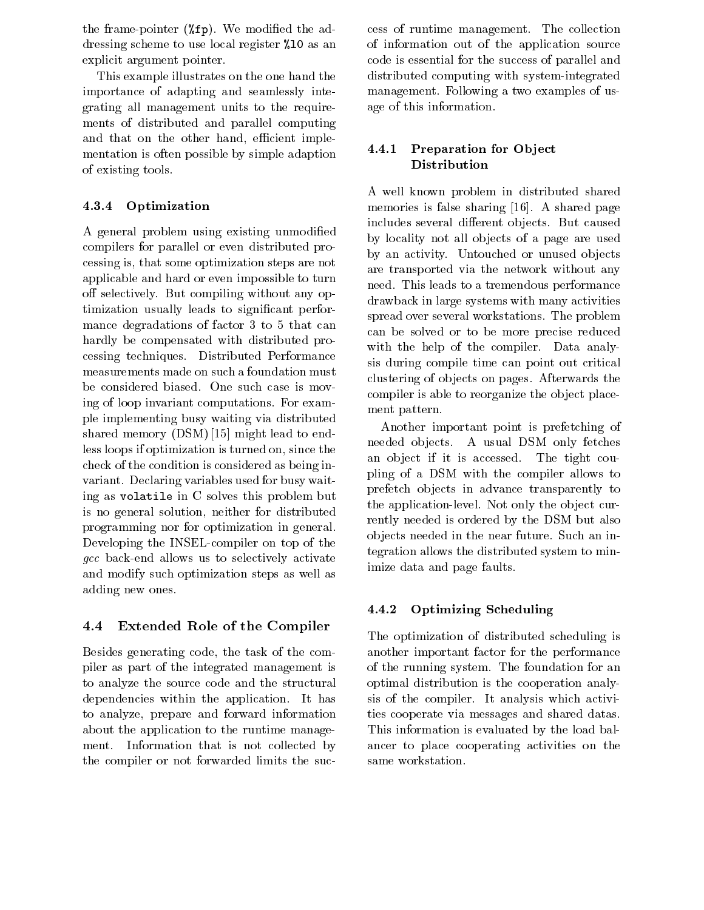the frame pointer for model the advanced the advanced the advanced the advanced the advanced the advanced to the advanced to the second term of the second term of the second term of the second term of the second term of th dressing scheme to use as an as an angular local components of the state of the state of the state of the state of the state of the state of the state of the state of the state of the state of the state of the state of the explicit argument pointer.

This example illustrates on the one hand the importance of adapting and seamlessly inte grating all management units to the require ments of distributed and parallel computing and that on the other hand, efficient implementation is often possible by simple adaption of existing tools-

#### 4.3.4 Optimization

A general problem using existing unmodified compilers for parallel or even distributed pro cessing is that some optimization steps are not applicable and hard or even impossible to turn o selectively-but compiled with a selection of the selection of the selection of the selection of the selection timization usually leads to significant performance degradations of the factor of factor  $\mathcal{L}$ hardly be compensated with distributed pro cessing techniques- Distributed Performance measurements made on such a foundation must ing of loop invariant computations- For exam ple implementing busy waiting via distributed shared memory  $(DSM)$  [15] might lead to endless loops if optimization is turned on, since the check of the condition is considered as being in  $\sim$  0.000  $\sim$  0.000  $\sim$   $\sim$  0.000  $\sim$  0.000  $\sim$  0.000  $\sim$  0.000  $\sim$  0.000  $\sim$  0.000  $\sim$  0.000  $\sim$  0.000  $\sim$  0.000  $\sim$  0.000  $\sim$  0.000  $\sim$  0.000  $\sim$  0.000  $\sim$  0.000  $\sim$  0.000  $\sim$  0.000  $\sim$  0.000  $\sim$  0. ing as volatile in C solves this problem but is no general solution, neither for distributed programming nor for optimization in general-Developing the INSEL-compiler on top of the gcc back-end allows us to selectively activate and modify such optimization steps as well as adding new ones.

#### 4.4 Extended Role of the Compiler

Besides generating code, the task of the compiler as part of the integrated management is to analyze the source code and the structural dependencies with the application-the applicationto analyze, prepare and forward information about the application to the runtime manage ment-definition that is not collected by  $\mathcal{L}$  is not collected by  $\mathcal{L}$ the compiler or not forwarded limits the suc

 $\mathbf{M}$ of information out of the application source code is essential for the success of parallel and distributed computing with system-integrated management-contracted a two examples of us  $\sim$ age of this information.

### 4.4.1 Preparation for Object Distribution

A well known problem in distributed shared  $\mathbf{A}$  sharing the sharing sharing  $\mathbf{A}$  sharing  $\mathbf{A}$  sharing  $\mathbf{A}$  sharing  $\mathbf{A}$  sharing  $\mathbf{A}$ includes several dierent ob jects- But caused by locality not all objects of a page are used  $\alpha$  , and activity, which does not activity of  $\alpha$  is a set of  $\alpha$ are transported via the network without any need- This leads to a tremendous performance drawback in large systems with many activities spread over several workstations- The problem can be solved or to be more precise reduced with the help of the help of the compiler-the compiler-the compiler-the compiler-the compiler-the compiler-the compiler-the compiler-the compiler-the compiler-the compiler-the compiler-the compiler-the compiler-the compile sis during compile time can point out critical clustering of objects on pages-independent the theory compiler is able to reorganize the object placement pattern-

Another important point is prefetching of needed ob jects- A usual DSM only fetches and the tight if it is accessed-to-tight coupling that the tight coupling  $\mathcal{F}(\mathcal{M})$ pling of a DSM with the compiler allows to prefetch ob jects in advance transparently to the application is the observed-to-controllevel-to-controllevel-to-controllevel-to-controllevel-to-controllevelrently needed is ordered by the DSM but also ob jects needs need the needed in the near future of the new futuretegration allows the distributed system to min imize data and page faults.

### Optimizing Scheduling

The optimization of distributed scheduling is another important factor for the performance of the running system-for an interaction for an interaction for an interaction for an interaction for an interaction for an interaction for an interaction for an interaction for an interaction for an interaction for an in optimal distribution is the cooperation analy sis of the completed of the compileration activities which activities which activities which activities which activities of the complete state of the complete state of the complete state of the complete state of the comple ties cooperate via messages and shared datas-This information is evaluated by the load bal ancer to place cooperating activities on the same workstation.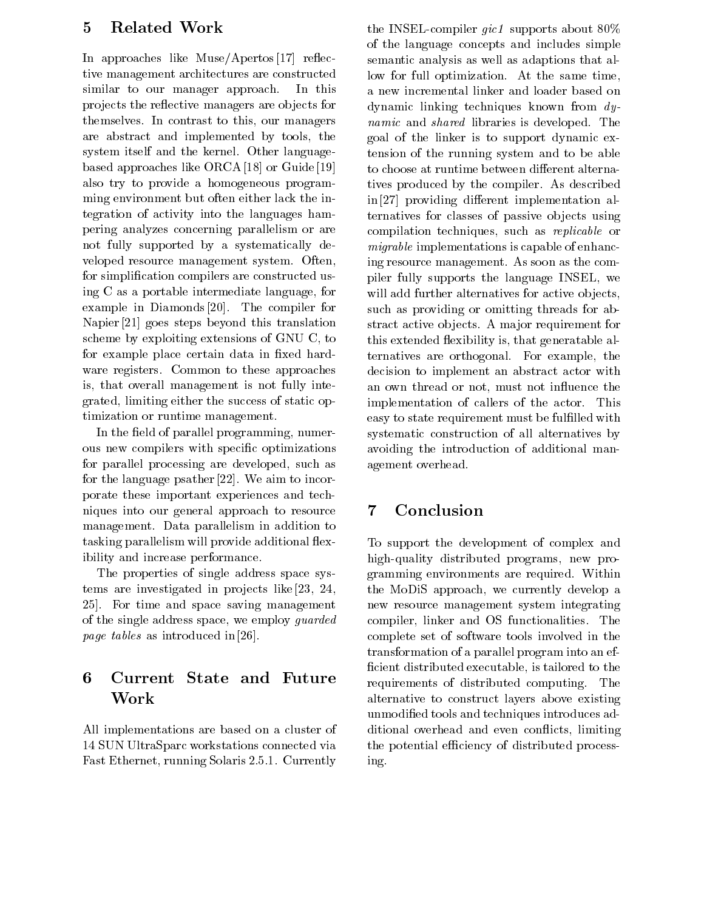#### Related Work  $\overline{5}$

In approaches like  $Muse/Apertos [17]$  reflective management architectures are constructed similar to our manager approaches are constructed in projects the reflective managers are objects for themselves- In contrast to this our managers are abstract and implemented by tools, the system itself and the kernel- Other language based approaches like ORCA [18] or Guide [19] also try to provide a homogeneous program ming environment but often either lack the in tegration of activity into the languages ham pering analyzes concerning parallelism or are not fully supported by a systematically de veloped resource management system- Often for simplication compilers are constructed us ing  $C$  as a portable intermediate language, for example in Diamonds in Diamonds in Diamonds in the compiler for the compiler of  $\mu$ Napier  $[21]$  goes steps beyond this translation scheme by exploiting extensions of GNU C, to for example place certain data in fixed hardware registers-to-these approaches approaches approaches approaches approaches approaches approaches approach is, that overall management is not fully integrated, limiting either the success of static optimization or runtime management.

In the field of parallel programming, numerous new compilers with specific optimizations for parallel processing are developed, such as for the language psather 
- We aim to incor porate these important experiences and tech niques into our general approach to resource 7 management-biometer in addition to the parallelism in addition to the parallelism in addition to the parallelis tasking parallelism will provide additional flexibility and increase performance.

The properties of single address space sys tems are investigated in pro jects like  - For time and space saving management of the single address space, we employ *guarded page tables* as introduced in  $[26]$ .

### 6 Current State and Future Work

All implementations are based on a cluster of 14 SUN UltraSparc workstations connected via Fast Ethernet running Solaris -- - Currently

the INSEL-compiler  $qic1$  supports about 80% of the language concepts and includes simple semantic analysis as well as adaptions that al at the same time time function- and the same time time time time time time that the same time time of  $\sim$ a new incremental linker and loader based on dynamic linking techniques known from dynamic and shared is developed and shared is developed to the second contract of the second contract of the second goal of the linker is to support dynamic ex tension of the running system and to be able to choose at runtime between different alternatives produced by the compiler- as described by the compiler- $\infty$  in [27] providing different implementation alternatives for classes of passive objects using compilation techniques, such as *replicable* or migrable implementations is capable of enhanc ing resource management-term as the comparison as the comparison of  $\mathbf{A}$ piler fully supports the language INSEL we will add further alternatives for active objects, such as providing or omitting threads for ab stract active ob jects-the computer for going and the computer for  $\sim$ this extended flexibility is, that generatable alternatives are orthogonal- For example the decision to implement an abstract actor with an own thread or not, must not influence the implementation of callers of the actor- This easy to state requirement must be fullled with systematic construction of all alternatives by avoiding the introduction of additional man agement overhead.

# Conclusion

To support the development of complex and high-quality distributed programs, new pro- $\alpha$  - with a required-dependent of  $\alpha$  and  $\alpha$  are required and  $\alpha$  . The rest is a required-dependent of  $\alpha$ the MoDiS approach, we currently develop a new resource management system integrating completely demonstrated only demonstrated and only density of  $\sim$ complete set of software tools involved in the transformation of a parallel program into an ef ficient distributed executable, is tailored to the requirements of distribution of distribution of distribution of distribution of distribution of distribution o alternative to construct layers above existing unmodified tools and techniques introduces additional overhead and even conflicts, limiting the potential efficiency of distributed processing-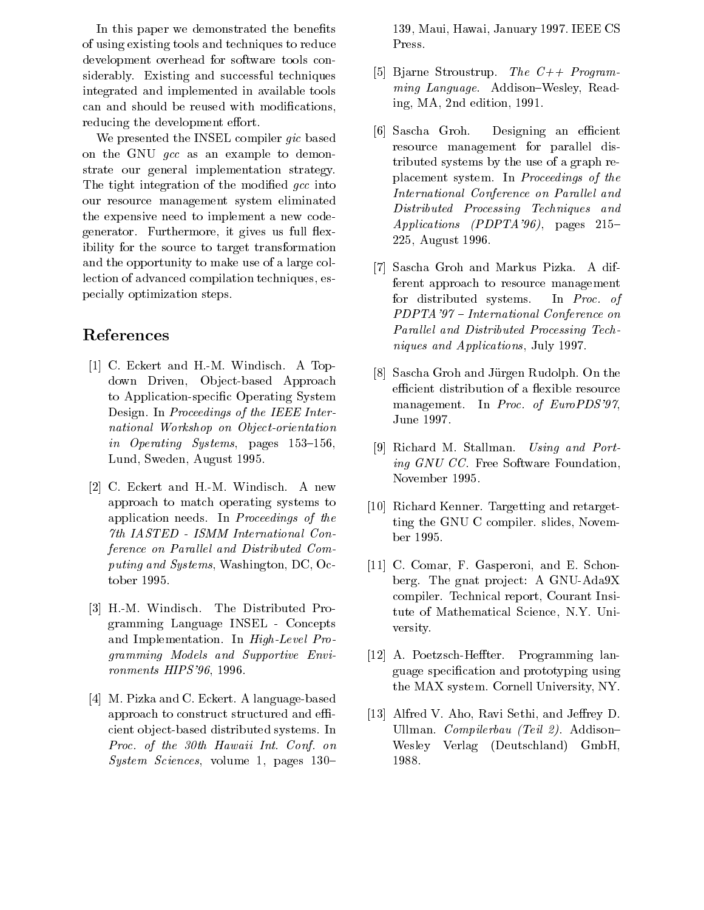In this paper we demonstrated the benefits of using existing tools and techniques to reduce development overhead for software tools con siderably-contracting and successive and successful techniques and successful techniques and successful techniq integrated and implemented in available tools can and should be reused with modifications, reducing the development effort.

We presented the INSEL compiler gic based on the GNU gcc as an example to demon strate our general implementation strategy-The tight integration of the modified  $qcc$  into our resource management system eliminated the expensive need to implement a new code  $\mathbf{f}$ ibility for the source to target transformation and the opportunity to make use of a large col lection of advanced compilation techniques, especially optimization steps-

## References

- is a top and the H- and the M- and the H- and H- and H- and H- and H- and H- and H- and H- and H- and H- and Hdown Driven, Object-based Approach to Application-specific Operating System <u>- In A</u> Proceedings of the IEEE International Workshop on Object-Contractor on Object-Contractor on Object-Contractor on Object-Contractor on Objectin Operating Systems pages Lund, Sweden, August 1995.
- C- Eckert and H-M- Windisch- A new approach to match operating systems to application and the contract of the theoretical contracts of the contracts of the contracts of the contracts of ference on Parallel and Distributed Computing and Systems, Washington, DC, October 1995.
- H-M- Windisch- The Distributed Pro gramming Language INSEL Concepts and Implementation-Implementation-Implementation-Implementation-Implementation-Implementation-Implementation-I gramming Models and Supportive Envi $ronments$  HIPS  $96.1996.$
- $\mathcal{A}$  and  $\mathcal{A}$  and  $\mathcal{A}$  and  $\mathcal{A}$  and  $\mathcal{A}$  and  $\mathcal{A}$  are  $\mathcal{A}$  and  $\mathcal{A}$  and  $\mathcal{A}$  and  $\mathcal{A}$  and  $\mathcal{A}$  and  $\mathcal{A}$  and  $\mathcal{A}$  and  $\mathcal{A}$  and  $\mathcal{A}$  and  $\mathcal{A}$  and  $\mathcal{A}$  and approach to construct structured and e cient object-based distributed systems. In Proc. of the 30th Hawaii Int. Conf. on System System Secretary of the System Sciences volume of the System System System System System System System System System System System System System System System System System System System System System System System

 $\blacksquare$  . In the case of the case of the case of the case of the case of the case of the case of the case of the case of the case of the case of the case of the case of the case of the case of the case of the case of the c Press-

- is it as a program-to the C and Strought of the C and Strout C and Strout C and Strout C and Strout C and Strout C and Strout C and Strout C and Strout C and Strout C and Strout C and Strout C and Strout C and Strout C and ming and property and the contract of the contract of the contract of the contract of the contract of the contract of the contract of the contract of the contract of the contract of the contract of the contract of the cont ing, MA,  $2nd$  edition,  $1991$ .
- [6] Sascha Groh. Designing an efficient resource management for parallel dis tributed systems by the use of a graph re placement systems of the proceedings of the systems of the system of the system of the system of the system of International Conference on Parallel and Distributed Processing Techniques and  $Applications$  (PDPTA'96), pages 215-225, August 1996.
- $\vert 7 \vert$ s a different continues and market pixels are different to the match ferent approach to resource management for distributed systems. In *Proc.* of PDPTA '97 - International Conference on Parallel and Distributed Processing Techniques and Applications, July 1997.
- Sascha Groh and Jurgen Rudolph- On the efficient distribution of a flexible resource management- In Proc of EuroPDS June 1997.
- Richard M- Stallman- Using and Porting GNU CC- Free Software Foundation November 1995.
- $R = R$  . The contract contract  $R$  and  $R$  and  $R$  and  $R$  and  $R$ ting the GNU C compilered computer of the GNU C ber 1995.
- compared to the Community of the Community of the Community of the Community of the Community of the Community of the Community of the Community of the Community of the Community of the Community of the Community of the Co berg- The gnat pro ject A GNUAdaX compiler-the-compiler-the-compiler-the-compiler-the-compiler-the-compiler-the-compiler-the-compiler-the-compilertute of Mathematical Science N-Y- Uni versity-
- <u> Poetzsche Berger Programming</u> land guage specification and prototyping using the MAX system- Cornell University NY-
- Alfred V- Aho Ravi Sethi and Jerey D-Ullian-Compiler United States (Company) - Compiled the Company of the Company of the Company of the Company of Wesley Verlag (Deutschland) GmbH, 1988.